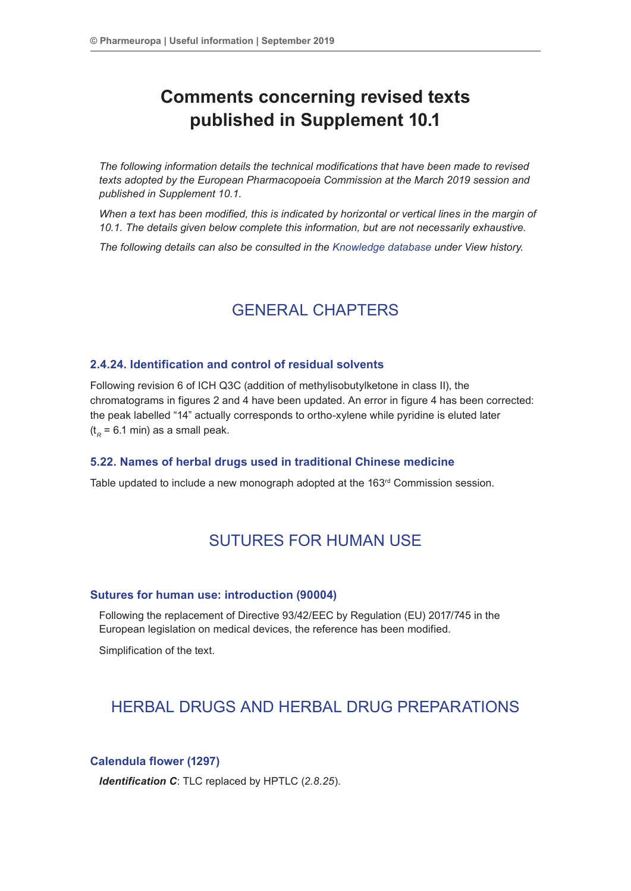# **Comments concerning revised texts published in Supplement 10.1**

*The following information details the technical modifications that have been made to revised texts adopted by the European Pharmacopoeia Commission at the March 2019 session and published in Supplement 10.1.*

*When a text has been modified, this is indicated by horizontal or vertical lines in the margin of 10.1. The details given below complete this information, but are not necessarily exhaustive.*

*The following details can also be consulted in the [Knowledge database](http://www.edqm.eu/site/Databases-10.html) under View history.*

## GENERAL CHAPTERS

## **2.4.24. Identification and control of residual solvents**

Following revision 6 of ICH Q3C (addition of methylisobutylketone in class II), the chromatograms in figures 2 and 4 have been updated. An error in figure 4 has been corrected: the peak labelled "14" actually corresponds to ortho-xylene while pyridine is eluted later  $(t<sub>R</sub> = 6.1$  min) as a small peak.

## **5.22. Names of herbal drugs used in traditional Chinese medicine**

Table updated to include a new monograph adopted at the  $163<sup>rd</sup>$  Commission session.

## SUTURES FOR HUMAN USE

## **Sutures for human use: introduction (90004)**

Following the replacement of Directive 93/42/EEC by Regulation (EU) 2017/745 in the European legislation on medical devices, the reference has been modified.

Simplification of the text.

## HERBAL DRUGS AND HERBAL DRUG PREPARATIONS

## **Calendula flower (1297)**

*Identification C*: TLC replaced by HPTLC (*2.8.25*).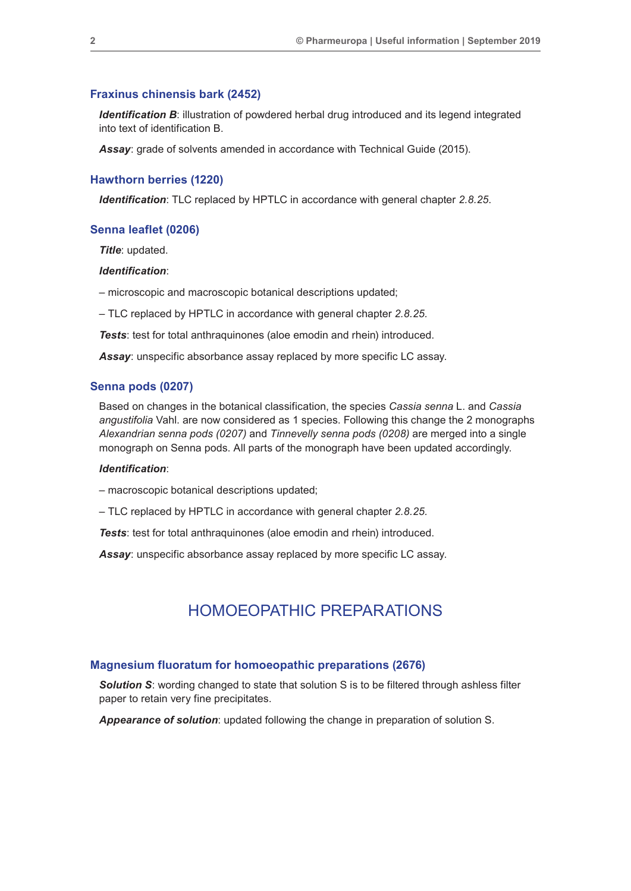#### **Fraxinus chinensis bark (2452)**

**Identification B:** illustration of powdered herbal drug introduced and its legend integrated into text of identification B.

*Assay*: grade of solvents amended in accordance with Technical Guide (2015).

#### **Hawthorn berries (1220)**

*Identification*: TLC replaced by HPTLC in accordance with general chapter *2.8.25*.

#### **Senna leaflet (0206)**

*Title*: updated.

#### *Identification*:

– microscopic and macroscopic botanical descriptions updated;

– TLC replaced by HPTLC in accordance with general chapter *2.8.25.*

*Tests*: test for total anthraquinones (aloe emodin and rhein) introduced.

*Assay*: unspecific absorbance assay replaced by more specific LC assay.

#### **Senna pods (0207)**

Based on changes in the botanical classification, the species *Cassia senna* L. and *Cassia angustifolia* Vahl. are now considered as 1 species. Following this change the 2 monographs *Alexandrian senna pods (0207)* and *Tinnevelly senna pods (0208)* are merged into a single monograph on Senna pods. All parts of the monograph have been updated accordingly.

#### *Identification*:

– macroscopic botanical descriptions updated;

– TLC replaced by HPTLC in accordance with general chapter *2.8.25.*

*Tests*: test for total anthraquinones (aloe emodin and rhein) introduced.

*Assay*: unspecific absorbance assay replaced by more specific LC assay.

## HOMOEOPATHIC PREPARATIONS

#### **Magnesium fluoratum for homoeopathic preparations (2676)**

**Solution S:** wording changed to state that solution S is to be filtered through ashless filter paper to retain very fine precipitates.

*Appearance of solution*: updated following the change in preparation of solution S.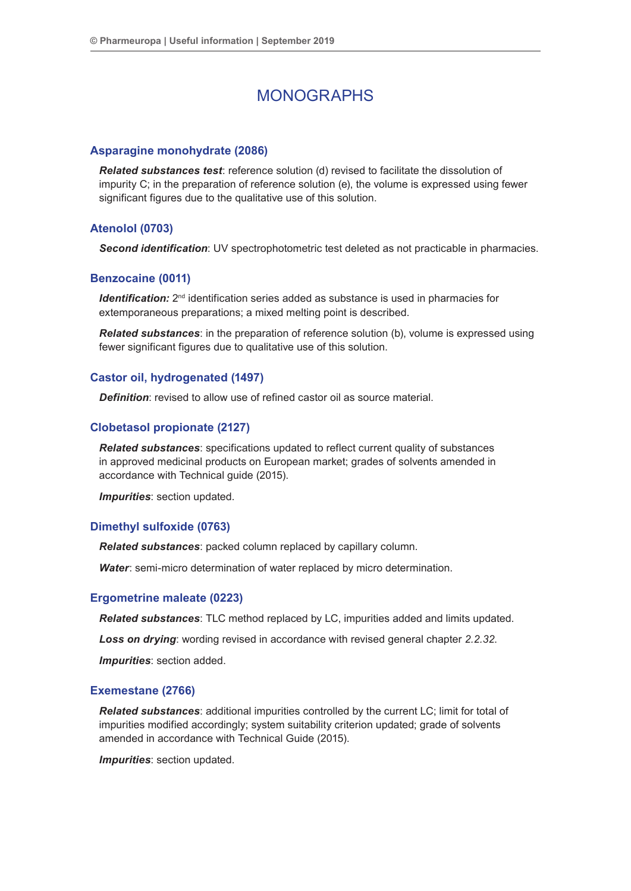## MONOGRAPHS

## **Asparagine monohydrate (2086)**

*Related substances test*: reference solution (d) revised to facilitate the dissolution of impurity C; in the preparation of reference solution (e), the volume is expressed using fewer significant figures due to the qualitative use of this solution.

## **Atenolol (0703)**

*Second identification*: UV spectrophotometric test deleted as not practicable in pharmacies.

#### **Benzocaine (0011)**

*Identification:* 2<sup>nd</sup> identification series added as substance is used in pharmacies for extemporaneous preparations; a mixed melting point is described.

*Related substances*: in the preparation of reference solution (b), volume is expressed using fewer significant figures due to qualitative use of this solution.

## **Castor oil, hydrogenated (1497)**

*Definition:* revised to allow use of refined castor oil as source material.

#### **Clobetasol propionate (2127)**

*Related substances*: specifications updated to reflect current quality of substances in approved medicinal products on European market; grades of solvents amended in accordance with Technical guide (2015).

*Impurities*: section updated.

### **Dimethyl sulfoxide (0763)**

*Related substances*: packed column replaced by capillary column.

*Water*: semi-micro determination of water replaced by micro determination.

#### **Ergometrine maleate (0223)**

*Related substances*: TLC method replaced by LC, impurities added and limits updated.

*Loss on drying*: wording revised in accordance with revised general chapter *2.2.32*.

*Impurities*: section added.

#### **Exemestane (2766)**

*Related substances*: additional impurities controlled by the current LC; limit for total of impurities modified accordingly; system suitability criterion updated; grade of solvents amended in accordance with Technical Guide (2015).

*Impurities*: section updated.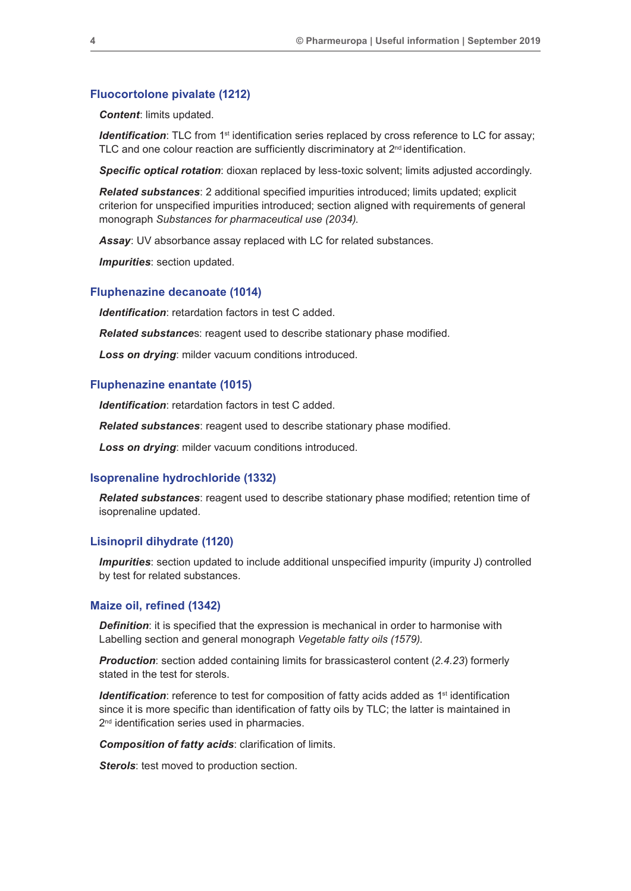### **Fluocortolone pivalate (1212)**

*Content*: limits updated.

**Identification**: TLC from 1<sup>st</sup> identification series replaced by cross reference to LC for assay; TLC and one colour reaction are sufficiently discriminatory at 2<sup>nd</sup> identification.

*Specific optical rotation*: dioxan replaced by less-toxic solvent; limits adjusted accordingly.

*Related substances*: 2 additional specified impurities introduced; limits updated; explicit criterion for unspecified impurities introduced; section aligned with requirements of general monograph *Substances for pharmaceutical use (2034)*.

*Assay*: UV absorbance assay replaced with LC for related substances.

*Impurities*: section updated.

#### **Fluphenazine decanoate (1014)**

*Identification*: retardation factors in test C added.

*Related substance*s: reagent used to describe stationary phase modified.

*Loss on drying*: milder vacuum conditions introduced.

#### **Fluphenazine enantate (1015)**

*Identification*: retardation factors in test C added.

*Related substances*: reagent used to describe stationary phase modified.

*Loss on drying*: milder vacuum conditions introduced.

#### **Isoprenaline hydrochloride (1332)**

*Related substances*: reagent used to describe stationary phase modified; retention time of isoprenaline updated.

#### **Lisinopril dihydrate (1120)**

*Impurities*: section updated to include additional unspecified impurity (impurity J) controlled by test for related substances.

#### **Maize oil, refined (1342)**

**Definition**: it is specified that the expression is mechanical in order to harmonise with Labelling section and general monograph *Vegetable fatty oils (1579)*.

*Production*: section added containing limits for brassicasterol content (*2.4.23*) formerly stated in the test for sterols.

*Identification*: reference to test for composition of fatty acids added as 1<sup>st</sup> identification since it is more specific than identification of fatty oils by TLC; the latter is maintained in 2<sup>nd</sup> identification series used in pharmacies.

*Composition of fatty acids*: clarification of limits.

**Sterols:** test moved to production section.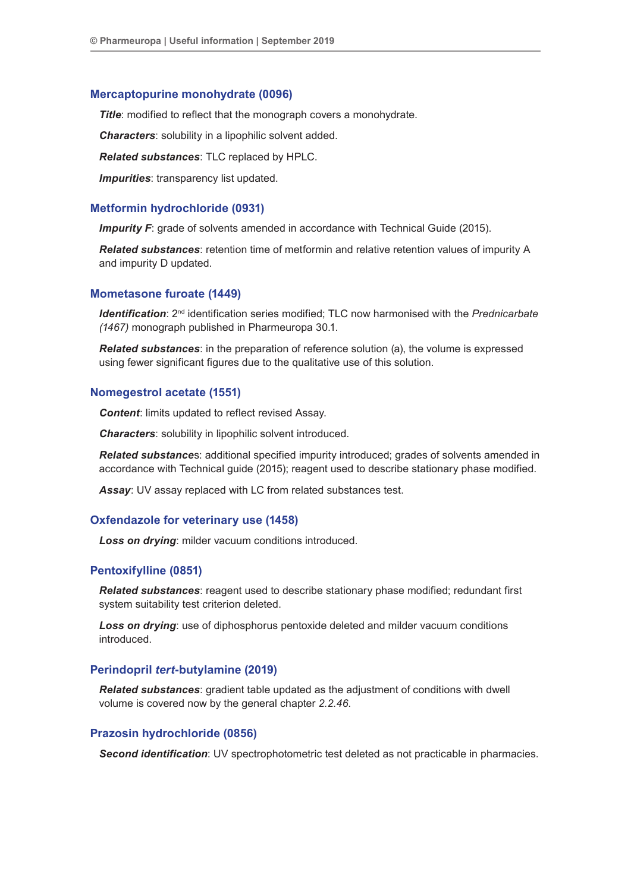### **Mercaptopurine monohydrate (0096)**

**Title:** modified to reflect that the monograph covers a monohydrate.

*Characters*: solubility in a lipophilic solvent added.

*Related substances*: TLC replaced by HPLC.

**Impurities**: transparency list updated.

## **Metformin hydrochloride (0931)**

**Impurity F**: grade of solvents amended in accordance with Technical Guide (2015).

*Related substances*: retention time of metformin and relative retention values of impurity A and impurity D updated.

#### **Mometasone furoate (1449)**

*Identification*: 2<sup>nd</sup> identification series modified; TLC now harmonised with the *Prednicarbate (1467)* monograph published in Pharmeuropa 30.1.

*Related substances*: in the preparation of reference solution (a), the volume is expressed using fewer significant figures due to the qualitative use of this solution.

#### **Nomegestrol acetate (1551)**

*Content:* limits updated to reflect revised Assay.

*Characters*: solubility in lipophilic solvent introduced.

*Related substance*s: additional specified impurity introduced; grades of solvents amended in accordance with Technical guide (2015); reagent used to describe stationary phase modified.

*Assay*: UV assay replaced with LC from related substances test.

#### **Oxfendazole for veterinary use (1458)**

*Loss on drying*: milder vacuum conditions introduced.

#### **Pentoxifylline (0851)**

*Related substances*: reagent used to describe stationary phase modified; redundant first system suitability test criterion deleted.

*Loss on drying*: use of diphosphorus pentoxide deleted and milder vacuum conditions introduced.

## **Perindopril** *tert***-butylamine (2019)**

*Related substances*: gradient table updated as the adjustment of conditions with dwell volume is covered now by the general chapter *2.2.46*.

## **Prazosin hydrochloride (0856)**

*Second identification*: UV spectrophotometric test deleted as not practicable in pharmacies.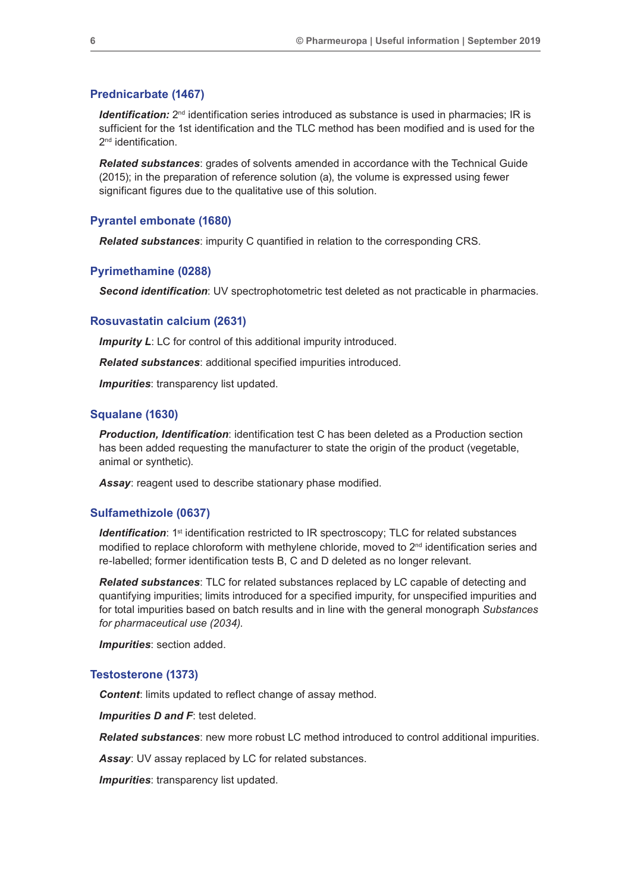#### **Prednicarbate (1467)**

*Identification:*  $2^{nd}$  identification series introduced as substance is used in pharmacies; IR is sufficient for the 1st identification and the TLC method has been modified and is used for the 2<sup>nd</sup> identification.

*Related substances*: grades of solvents amended in accordance with the Technical Guide (2015); in the preparation of reference solution (a), the volume is expressed using fewer significant figures due to the qualitative use of this solution.

#### **Pyrantel embonate (1680)**

*Related substances*: impurity C quantified in relation to the corresponding CRS.

## **Pyrimethamine (0288)**

*Second identification*: UV spectrophotometric test deleted as not practicable in pharmacies.

### **Rosuvastatin calcium (2631)**

**Impurity L:** LC for control of this additional impurity introduced.

*Related substances*: additional specified impurities introduced.

*Impurities*: transparency list updated.

## **Squalane (1630)**

**Production, Identification**: identification test C has been deleted as a Production section has been added requesting the manufacturer to state the origin of the product (vegetable, animal or synthetic).

*Assay*: reagent used to describe stationary phase modified.

#### **Sulfamethizole (0637)**

*Identification*: 1<sup>st</sup> identification restricted to IR spectroscopy; TLC for related substances modified to replace chloroform with methylene chloride, moved to  $2<sup>nd</sup>$  identification series and re-labelled; former identification tests B, C and D deleted as no longer relevant.

*Related substances*: TLC for related substances replaced by LC capable of detecting and quantifying impurities; limits introduced for a specified impurity, for unspecified impurities and for total impurities based on batch results and in line with the general monograph *Substances for pharmaceutical use (2034)*.

*Impurities*: section added.

## **Testosterone (1373)**

*Content:* limits updated to reflect change of assay method.

*Impurities D and F*: test deleted.

*Related substances*: new more robust LC method introduced to control additional impurities.

*Assay*: UV assay replaced by LC for related substances.

**Impurities**: transparency list updated.